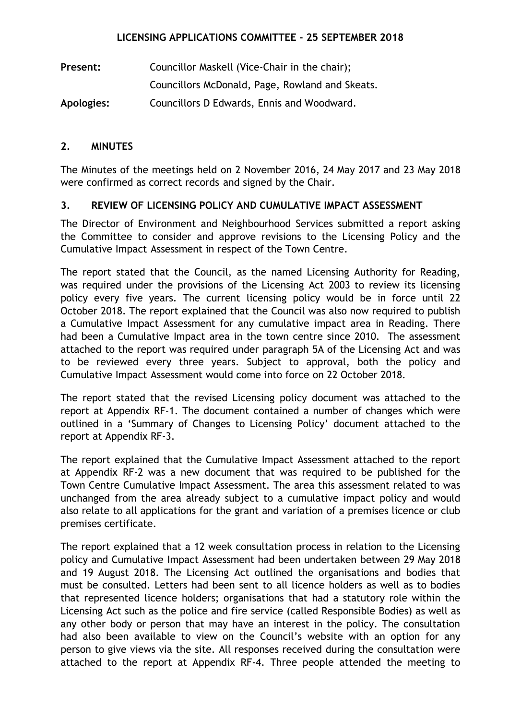## **LICENSING APPLICATIONS COMMITTEE - 25 SEPTEMBER 2018**

| Present:   | Councillor Maskell (Vice-Chair in the chair);   |
|------------|-------------------------------------------------|
|            | Councillors McDonald, Page, Rowland and Skeats. |
| Apologies: | Councillors D Edwards, Ennis and Woodward.      |

## **2. MINUTES**

The Minutes of the meetings held on 2 November 2016, 24 May 2017 and 23 May 2018 were confirmed as correct records and signed by the Chair.

# **3. REVIEW OF LICENSING POLICY AND CUMULATIVE IMPACT ASSESSMENT**

The Director of Environment and Neighbourhood Services submitted a report asking the Committee to consider and approve revisions to the Licensing Policy and the Cumulative Impact Assessment in respect of the Town Centre.

The report stated that the Council, as the named Licensing Authority for Reading, was required under the provisions of the Licensing Act 2003 to review its licensing policy every five years. The current licensing policy would be in force until 22 October 2018. The report explained that the Council was also now required to publish a Cumulative Impact Assessment for any cumulative impact area in Reading. There had been a Cumulative Impact area in the town centre since 2010. The assessment attached to the report was required under paragraph 5A of the Licensing Act and was to be reviewed every three years. Subject to approval, both the policy and Cumulative Impact Assessment would come into force on 22 October 2018.

The report stated that the revised Licensing policy document was attached to the report at Appendix RF-1. The document contained a number of changes which were outlined in a 'Summary of Changes to Licensing Policy' document attached to the report at Appendix RF-3.

The report explained that the Cumulative Impact Assessment attached to the report at Appendix RF-2 was a new document that was required to be published for the Town Centre Cumulative Impact Assessment. The area this assessment related to was unchanged from the area already subject to a cumulative impact policy and would also relate to all applications for the grant and variation of a premises licence or club premises certificate.

The report explained that a 12 week consultation process in relation to the Licensing policy and Cumulative Impact Assessment had been undertaken between 29 May 2018 and 19 August 2018. The Licensing Act outlined the organisations and bodies that must be consulted. Letters had been sent to all licence holders as well as to bodies that represented licence holders; organisations that had a statutory role within the Licensing Act such as the police and fire service (called Responsible Bodies) as well as any other body or person that may have an interest in the policy. The consultation had also been available to view on the Council's website with an option for any person to give views via the site. All responses received during the consultation were attached to the report at Appendix RF-4. Three people attended the meeting to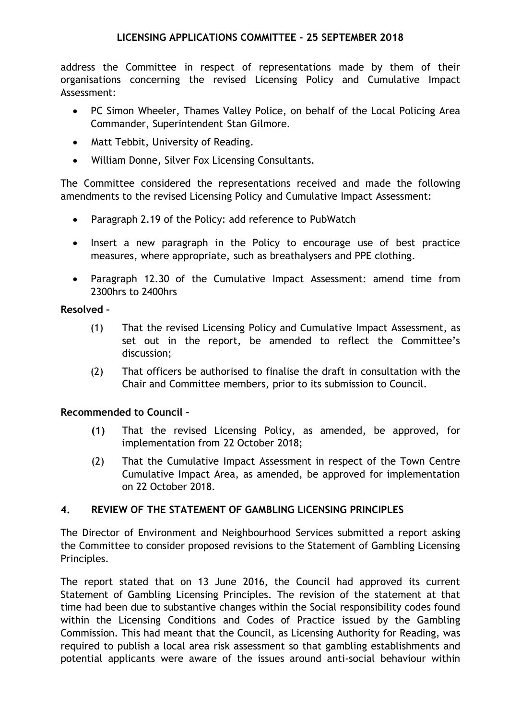address the Committee in respect of representations made by them of their organisations concerning the revised Licensing Policy and Cumulative Impact Assessment:

- PC Simon Wheeler, Thames Valley Police, on behalf of the Local Policing Area Commander, Superintendent Stan Gilmore.
- Matt Tebbit, University of Reading.
- William Donne, Silver Fox Licensing Consultants.

The Committee considered the representations received and made the following amendments to the revised Licensing Policy and Cumulative Impact Assessment:

- Paragraph 2.19 of the Policy: add reference to PubWatch
- Insert a new paragraph in the Policy to encourage use of best practice measures, where appropriate, such as breathalysers and PPE clothing.
- Paragraph 12.30 of the Cumulative Impact Assessment: amend time from 2300hrs to 2400hrs

## **Resolved –**

- (1) That the revised Licensing Policy and Cumulative Impact Assessment, as set out in the report, be amended to reflect the Committee's discussion;
- (2) That officers be authorised to finalise the draft in consultation with the Chair and Committee members, prior to its submission to Council.

## **Recommended to Council -**

- **(1)** That the revised Licensing Policy, as amended, be approved, for implementation from 22 October 2018;
- (2) That the Cumulative Impact Assessment in respect of the Town Centre Cumulative Impact Area, as amended, be approved for implementation on 22 October 2018.

## **4. REVIEW OF THE STATEMENT OF GAMBLING LICENSING PRINCIPLES**

The Director of Environment and Neighbourhood Services submitted a report asking the Committee to consider proposed revisions to the Statement of Gambling Licensing Principles.

The report stated that on 13 June 2016, the Council had approved its current Statement of Gambling Licensing Principles. The revision of the statement at that time had been due to substantive changes within the Social responsibility codes found within the Licensing Conditions and Codes of Practice issued by the Gambling Commission. This had meant that the Council, as Licensing Authority for Reading, was required to publish a local area risk assessment so that gambling establishments and potential applicants were aware of the issues around anti-social behaviour within